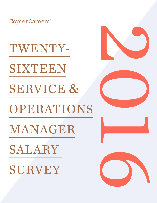CopierCareers®

TWENTY-

SIXTEEN

SERVICE & OPERATIONS

MANAGER

SALARY

SURVEY







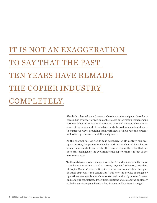# IT IS NOT AN EXAGGERATION TO SAY THAT THE PAST TEN YEARS HAVE REMADE THE COPIER INDUSTRY COMPLETELY.

The dealer channel, once focused on hardware sales and paper-based processes, has evolved to provide sophisticated information management services delivered across vast networks of varied devices. This convergence of the copier and IT industries has bolstered independent dealers in numerous ways, providing them with new, reliable revenue streams and ushering in an era of stability and growth.

As the channel has evolved to take advantage of  $21<sup>st</sup>$  century business opportunities, the professionals who work in the channel have had to adjust their mindsets and evolve their skills. One of the roles that has been most changed by the evolution of the copier channel is that of the service manager.

"In the old days, service managers were the guys who knew exactly where to kick some machine to make it work," says Paul Schwartz, president of Copier Careers®, a recruiting firm that works exclusively with copier channel employers and candidates. "But now the service manager or operations manager is a much more strategic and analytic role, focused on managing sophisticated workflow solutions and collaborating closely with the people responsible for sales, finance, and business strategy."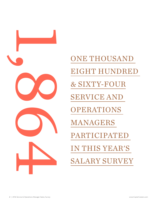

ONE THOUSAND EIGHT HUNDRED & SIXTY-FOUR SERVICE AND OPERATIONS MANAGERS PARTICIPATED IN THIS YEAR'S SALARY SURVEY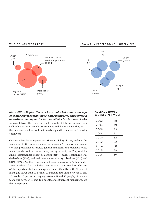



#### **HOW MANY PEOPLE DO YOU SUPERVISE?**



#### *Since 2002, Copier Careers has conducted annual surveys of copier service technicians, sales managers, and service & operations managers.* In 2011, we added a fourth survey of sales representatives. These surveys track a variety of data and measure how well industry professionals are compensated, how satisfied they are in their careers, and how well their needs align with the needs of industry employers.

Our 2016 Service & Operations Manager Salary Survey reflects the responses of 1,864 copier channel service managers, operations managers, vice presidents of service, general managers, and regional service managers who took our online survey during the past year. They work for single-location independent dealerships (16%), multi-location regional dealerships (37%), national sales and service organizations (20%) and OEMs (16%). Another 11 percent list their employers as "other," a designation which likely includes many IT and MNS providers. The size of the departments they manage varies significantly, with 21 percent managing fewer than 10 people, 23 percent managing between 11 and 20 people, 20 percent managing between 21 and 50 people, 18 percent managing between 51 and 100 people, and 18 percent managing more than 100 people.

#### **AV E R A G E H O U R S WORKED PER WEEK**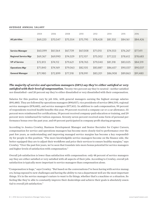#### **AVERAGE ANNUAL SALARY**

|                             | 2004     | 2006     | 2008     | 2010     | 2012     | 2014     | 2015     | 2016     |
|-----------------------------|----------|----------|----------|----------|----------|----------|----------|----------|
| All job titles              | \$69,220 | \$70,547 | \$75,554 | \$75,795 | \$78,428 | \$81,332 | \$84,161 | \$84,426 |
|                             |          |          |          |          |          |          |          |          |
| <b>Service Manager</b>      | \$60,099 | \$61,564 | \$67,739 | \$67,008 | \$71,010 | \$74,553 | \$76,267 | \$77,411 |
| <b>Regional Service Mgr</b> | \$69,367 | \$69,990 | \$74,029 | \$72,107 | \$75,002 | \$77,222 | \$78,612 | \$78,683 |
| <b>VP of Service</b>        | \$72,813 | \$74,112 | \$79,621 | \$78,765 | \$79,040 | \$81,318 | \$83,025 | \$84,519 |
| <b>Operations Mgr</b>       | \$71,840 | \$74,169 | \$79,063 | \$82,105 | \$83,887 | \$86,657 | \$90,037 | \$90,037 |
| <b>General Manager</b>      | \$71,980 | \$72,899 | \$77,318 | \$78,991 | \$83,201 | \$86,908 | \$89,863 | \$91,480 |

*The majority of service and operations managers (58%) say they're either satisfied or very satisfied with their level of compensation.* Twenty-two percent say they're neutral—neither satisfied nor dissatisfied—and 20 percent say they're either dissatisfied or very dissatisfied with their compensation.

Salaries for this position vary by job title, with general managers earning the highest average salaries (\$91,480). They are followed by operations managers (\$90,037), vice presidents of service (\$84,519), regional service managers (\$78,683), and service managers (\$77,411). In addition to cash compensation, 99 percent of respondents received health benefits this year, 99 percent received a company car or a car allowance, 55 percent were reimbursed for certifications, 39 percent received company-paid education or training, and 29 percent were reimbursed for tuition expenses. Seventy-seven percent received some form of personal performance bonus over the past year, and 69 percent participated in company profit sharing programs.

According to Jessica Crowley, Business Development Manager and Senior Recruiter for Copier Careers, compensation for service and operations managers has become more closely tied to performance over the past few years, as understanding and improving managed service margins has become a key responsibility for people in this position. "The more knowledgable service managers become on the finance side, the better equipped they are to adjust their workflows and price their services to ensure healthy margins," says Crowley. "Over the past few years, we've seen that translate into more bonus potential for service managers and higher levels of satisfaction with compensation."

Overall job satisfaction is lower than satisfaction with compensation: only 48 percent of service managers say they are either satisfied or very satisfied with all aspects of their jobs. According to Crowley, overall job satisfaction is typically more important to service managers than compensation alone.

"Compensation is huge," says Crowley. "But based on the conversations I've been having with service managers, being exposed to new challenges and having the ability to run a department well are the most important things. It's in the service manager's nature to want to fix things, whether that's a machine or a situation. So feeling like they're able to constantly improve their dealerships and achieve their goals is absolutely essential to overall job satisfaction."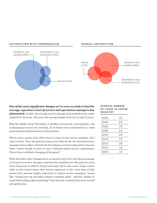



**OVERALL SATISFACTION**

#### *One of the most significant changes we've seen recently is that the average experience level of service and operations managers has plummeted.* In 2011, the average service manager had worked in the copier channel for 26 years. This year, the average length of service is only 13 years.

Why the sudden drop? We believe a number of economic, demographic, and technological factors are involved, all of which have contributed to a swift generational transformation in this position.

"We've seen a pretty clear shift when it comes to the service manager role," says Crowley. "Over the past few years, a lot of the break/ fix-oriented service managers have either retired from the industry or been replaced by someone with a better handle on how to run a solutions-based service organization. There's been a definite changing of the guard."

With this shift, other changes have occurred as well. For one, the percentage of women in service manager positions has doubled over the past six years, from 10 percent in 2010 to 20 percent today. We've also seen a major values shift as job-related issues that barely registered in the early days of this survey have become hugely important to today's service managers. Issues like "seeing how my job helps achieve company goals" and the "ability to work with leading-edge technology" have become essential factors in overall job satisfaction.

#### **AV E R A G E N U M B E R OF YEARS IN COPIER INDUSTRY**

| 2002 | 23 |
|------|----|
| 2004 | 23 |
| 2006 | 25 |
| 2008 | 23 |
| 2010 | 25 |
| 2012 | 23 |
| 2014 | 19 |
| 2015 | 16 |
| 2016 | 13 |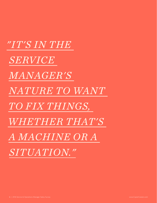*"IT'S IN THE SERVICE MANAGER'S NATURE TO WANT TO FIX THINGS, WHETHER THAT'S A MACHINE OR A SITUATION."*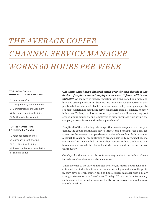## *THE AVERAGE COPIER CHANNEL SERVICE MANAGER WORKS 60 HOURS PER WEEK*

#### **TOP NON-CASH/ INDIRECT CASH REWARDS**

1. Health benefits

- 2. Company car/car allowance
- 3. Certification reimbursement
- 4. Further education/training
- 5. Tuition reimbursement

#### **TOP REASONS FOR EARNING BONUSES**

- 1. Personal performance
- 2. Company profit sharing
- 3. Certification/training
- 4. Project milestone completion
- 5. Signing bonus

### *One thing that hasn't changed much over the past decade is the desire of copier channel employers to recruit from within the*

*industry.* As the service manager position has transitioned to a more analytic and strategic role, it has become less important for the person in that position to have a break/fix background and, conceivably, we might expect to see more dealerships recruiting service managers from IT, finance, or other industries. To date, that has not come to pass, and we still see a strong preference among copier channel employers to either promote from within the company or recruit from within the copier channel.

"Despite all of the technological changes that have taken place over the past decade, the copier channel has stayed intact," says Schwartz. "It's a real testament to the strength and persistence of the independent dealer channel. Although the channel has continued to broaden, it is still a very specific niche, and time after time we find that our clients prefer to hire candidates who have come up through the channel and who understand the ins and outs of this industry."

Crowley adds that some of this preference may be due to our industry's continued strong emphasis on customer service.

"When it comes to the service manager position, no matter how much our clients want that individual to run the numbers and figure out where the profit is, they have an even greater need to find a service manager with a really strong customer service focus," says Crowley. "No matter how technically sophisticated this industry becomes, it will always at its core be about service and relationships."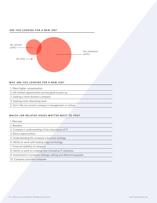#### **ARE YOU LOOKING FOR A NEW JOB?**



#### **WHY ARE YOU LOOKING FOR A NEW JOB?**

- 1. Want higher compensation
- 2. Job market opportunities are too good to pass up
- 3. Seeking a more dynamic company
- 4. Seeking more interesting work
- 5. Don't like my current company's management or culture

#### WHICH JOB-RELATED ISSUES MATTER MOST TO YOU?

- 1. Base pay
- 2. Benefits
- 3. Company's understanding of the importance of IT
- 4. Bonus opportunities
- 5. Understanding the company's business strategy
- 6. Ability to work with leading-edge technology
- 7. Financial stability of company
- 8. Ability to work on creating new innovative IT solutions
- 9. Involvement in company strategy setting and determining goals
- 10. Company-provided computer